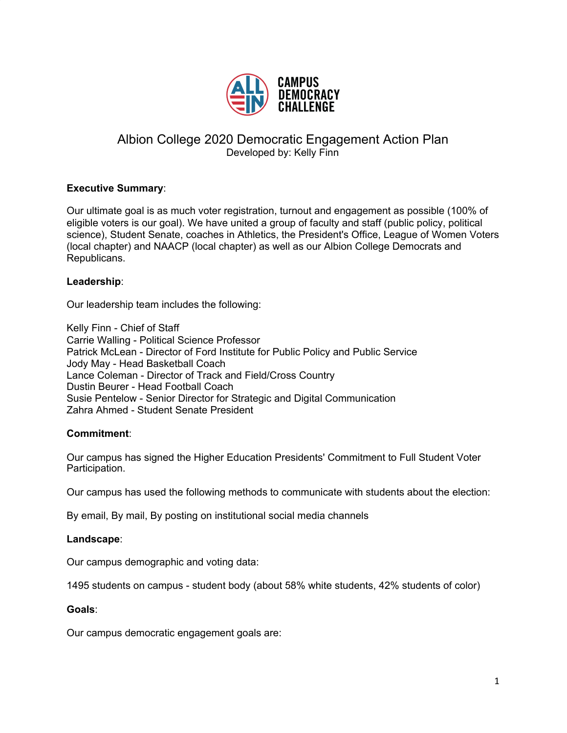

# Albion College 2020 Democratic Engagement Action Plan Developed by: Kelly Finn

# **Executive Summary**:

Our ultimate goal is as much voter registration, turnout and engagement as possible (100% of eligible voters is our goal). We have united a group of faculty and staff (public policy, political science), Student Senate, coaches in Athletics, the President's Office, League of Women Voters (local chapter) and NAACP (local chapter) as well as our Albion College Democrats and Republicans.

### **Leadership**:

Our leadership team includes the following:

Kelly Finn - Chief of Staff Carrie Walling - Political Science Professor Patrick McLean - Director of Ford Institute for Public Policy and Public Service Jody May - Head Basketball Coach Lance Coleman - Director of Track and Field/Cross Country Dustin Beurer - Head Football Coach Susie Pentelow - Senior Director for Strategic and Digital Communication Zahra Ahmed - Student Senate President

### **Commitment**:

Our campus has signed the Higher Education Presidents' Commitment to Full Student Voter Participation.

Our campus has used the following methods to communicate with students about the election:

By email, By mail, By posting on institutional social media channels

#### **Landscape**:

Our campus demographic and voting data:

1495 students on campus - student body (about 58% white students, 42% students of color)

#### **Goals**:

Our campus democratic engagement goals are: